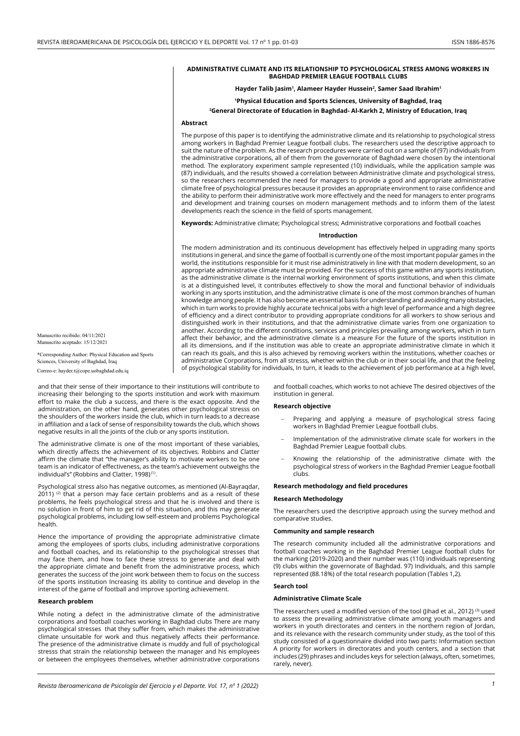### **ADMINISTRATIVE CLIMATE AND ITS RELATIONSHIP TO PSYCHOLOGICAL STRESS AMONG WORKERS IN BAGHDAD PREMIER LEAGUE FOOTBALL CLUBS**

**Hayder Talib Jasim1 , Alameer Hayder Hussein2 , Samer Saad Ibrahim1**

**1Physical Education and Sports Sciences, University of Baghdad, Iraq**

#### **2 General Directorate of Education in Baghdad- Al-Karkh 2, Ministry of Education, Iraq**

## **Abstract**

The purpose of this paper is to identifying the administrative climate and its relationship to psychological stress among workers in Baghdad Premier League football clubs. The researchers used the descriptive approach to suit the nature of the problem. As the research procedures were carried out on a sample of (97) individuals from the administrative corporations, all of them from the governorate of Baghdad were chosen by the intentional method. The exploratory experiment sample represented (10) individuals, while the application sample was (87) individuals, and the results showed a correlation between Administrative climate and psychological stress, so the researchers recommended the need for managers to provide a good and appropriate administrative climate free of psychological pressures because it provides an appropriate environment to raise confidence and the ability to perform their administrative work more effectively and the need for managers to enter programs and development and training courses on modern management methods and to inform them of the latest developments reach the science in the field of sports management.

**Keywords:** Administrative climate; Psychological stress; Administrative corporations and football coaches

#### **Introduction**

The modern administration and its continuous development has effectively helped in upgrading many sports institutions in general, and since the game of football is currently one of the most important popular games in the world, the institutions responsible for it must rise administratively in line with that modern development, so an appropriate administrative climate must be provided. For the success of this game within any sports institution, as the administrative climate is the internal working environment of sports institutions, and when this climate is at a distinguished level, it contributes effectively to show the moral and functional behavior of individuals working in any sports institution, and the administrative climate is one of the most common branches of human knowledge among people. It has also become an essential basis for understanding and avoiding many obstacles, which in turn works to provide highly accurate technical jobs with a high level of performance and a high degree of efficiency and a direct contributor to providing appropriate conditions for all workers to show serious and distinguished work in their institutions, and that the administrative climate varies from one organization to another. According to the different conditions, services and principles prevailing among workers, which in turn affect their behavior, and the administrative climate is a measure For the future of the sports institution in all its dimensions, and if the institution was able to create an appropriate administrative climate in which it can reach its goals, and this is also achieved by removing workers within the institutions, whether coaches or administrative Corporations, from all stresss, whether within the club or in their social life, and that the feeling of psychological stability for individuals, In turn, it leads to the achievement of job performance at a high level,

Manuscrito recibido: 04/11/2021 Manuscrito aceptado: 15/12/2021

\*Corresponding Author: Physical Education and Sports Sciences, University of Baghdad, Iraq

Correo-e: hayder.t@cope.uobaghdad.edu.iq

and that their sense of their importance to their institutions will contribute to increasing their belonging to the sports institution and work with maximum effort to make the club a success, and there is the exact opposite. And the administration, on the other hand, generates other psychological stresss on the shoulders of the workers inside the club, which in turn leads to a decrease in affiliation and a lack of sense of responsibility towards the club, which shows negative results in all the joints of the club or any sports institution.

The administrative climate is one of the most important of these variables, which directly affects the achievement of its objectives. Robbins and Clatter affirm the climate that "the manager's ability to motivate workers to be one team is an indicator of effectiveness, as the team's achievement outweighs the individual's" (Robbins and Clatter, 1998)<sup>(1)</sup>.

Psychological stress also has negative outcomes, as mentioned (Al-Bayraqdar, 2011) <sup>(2)</sup> that a person may face certain problems and as a result of these problems, he feels psychological stress and that he is involved and there is no solution in front of him to get rid of this situation, and this may generate psychological problems, including low self-esteem and problems Psychological health.

Hence the importance of providing the appropriate administrative climate among the employees of sports clubs, including administrative corporations and football coaches, and its relationship to the psychological stresses that may face them, and how to face these stresss to generate and deal with the appropriate climate and benefit from the administrative process, which generates the success of the joint work between them to focus on the success of the sports institution Increasing its ability to continue and develop in the interest of the game of football and improve sporting achievement.

### **Research problem**

While noting a defect in the administrative climate of the administrative corporations and football coaches working in Baghdad clubs There are many psychological stresses that they suffer from, which makes the administrative climate unsuitable for work and thus negatively affects their performance. The presence of the administrative climate is muddy and full of psychological stresss that strain the relationship between the manager and his employees or between the employees themselves, whether administrative corporations

and football coaches, which works to not achieve The desired objectives of the institution in general.

# **Research objective**

- Preparing and applying a measure of psychological stress facing workers in Baghdad Premier League football clubs.
- Implementation of the administrative climate scale for workers in the Baghdad Premier League football clubs.
- Knowing the relationship of the administrative climate with the psychological stress of workers in the Baghdad Premier League football clubs.

#### **Research methodology and field procedures**

#### **Research Methodology**

The researchers used the descriptive approach using the survey method and comparative studies.

### **Community and sample research**

The research community included all the administrative corporations and football coaches working in the Baghdad Premier League football clubs for the marking (2019-2020) and their number was (110) individuals representing (9) clubs within the governorate of Baghdad. 97) Individuals, and this sample represented (88.18%) of the total research population (Tables 1,2).

# **Search tool**

### **Administrative Climate Scale**

The researchers used a modified version of the tool (Jihad et al., 2012)<sup>(3)</sup> used to assess the prevailing administrative climate among youth managers and workers in youth directorates and centers in the northern region of Jordan, and its relevance with the research community under study, as the tool of this study consisted of a questionnaire divided into two parts: Information section A priority for workers in directorates and youth centers, and a section that includes (29) phrases and includes keys for selection (always, often, sometimes, rarely, never).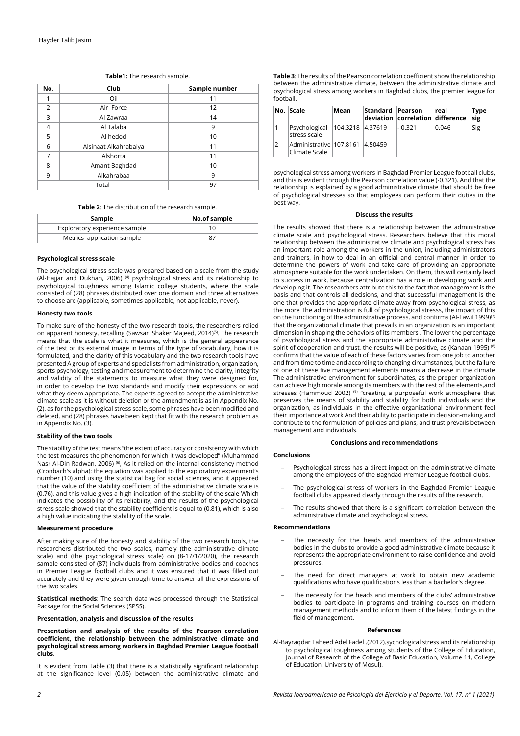| No.            | Club                        | Sample number |  |  |
|----------------|-----------------------------|---------------|--|--|
|                | Oil                         | 11            |  |  |
| $\overline{2}$ | Air Force                   | 12            |  |  |
| 3              | 14<br>Al Zawraa             |               |  |  |
| $\overline{4}$ | Al Talaba                   | 9             |  |  |
| 5              | Al hedod                    | 10            |  |  |
| 6              | Alsinaat Alkahrabaiya<br>11 |               |  |  |
| 7              | Alshorta                    | 11            |  |  |
| 8              | Amant Baghdad<br>10         |               |  |  |
| 9              | Alkahrabaa<br>9             |               |  |  |
| Total          |                             | 97            |  |  |

**Table1:** The research sample.

**Table 2**: The distribution of the research sample.

| Sample                        | No.of sample |  |  |
|-------------------------------|--------------|--|--|
| Exploratory experience sample |              |  |  |
| Metrics application sample    |              |  |  |

## **Psychological stress scale**

The psychological stress scale was prepared based on a scale from the study (Al-Hajjar and Dukhan, 2006) (4) psychological stress and its relationship to psychological toughness among Islamic college students, where the scale consisted of (28) phrases distributed over one domain and three alternatives to choose are (applicable, sometimes applicable, not applicable, never).

### **Honesty two tools**

To make sure of the honesty of the two research tools, the researchers relied on apparent honesty, recalling (Sawsan Shaker Majeed, 2014)<sup>(5)</sup>. The research means that the scale is what it measures, which is the general appearance of the test or its external image in terms of the type of vocabulary, how it is formulated, and the clarity of this vocabulary and the two research tools have presented A group of experts and specialists from administration, organization, sports psychology, testing and measurement to determine the clarity, integrity and validity of the statements to measure what they were designed for, in the tensor, the tensor to develop the two standards and modify their expressions or add what they deem appropriate. The experts agreed to accept the administrative climate scale as it is without deletion or the amendment is as in Appendix No. (2). as for the psychological stress scale, some phrases have been modified and deleted, and (28) phrases have been kept that fit with the research problem as in Appendix No. (3).

## **Stability of the two tools**

The stability of the test means "the extent of accuracy or consistency with which the test measures the phenomenon for which it was developed" (Muhammad Nasr Al-Din Radwan, 2006) <sup>(6)</sup>, As it relied on the internal consistency method (Cronbach's alpha): the equation was applied to the exploratory experiment's number (10) and using the statistical bag for social sciences, and it appeared that the value of the stability coefficient of the administrative climate scale is (0.76), and this value gives a high indication of the stability of the scale Which indicates the possibility of its reliability, and the results of the psychological stress scale showed that the stability coefficient is equal to (0.81), which is also a high value indicating the stability of the scale.

#### **Measurement procedure**

After making sure of the honesty and stability of the two research tools, the researchers distributed the two scales, namely (the administrative climate scale) and (the psychological stress scale) on (8-17/1/2020), the research sample consisted of (87) individuals from administrative bodies and coaches in Premier League football clubs and it was ensured that it was filled out accurately and they were given enough time to answer all the expressions of the two scales.

**Statistical methods**: The search data was processed through the Statistical Package for the Social Sciences (SPSS).

# **Presentation, analysis and discussion of the results**

**Presentation and analysis of the results of the Pearson correlation coefficient, the relationship between the administrative climate and psychological stress among workers in Baghdad Premier League football clubs**.

It is evident from Table (3) that there is a statistically significant relationship at the significance level (0.05) between the administrative climate and **Table 3**: The results of the Pearson correlation coefficient show the relationship between the administrative climate, between the administrative climate and psychological stress among workers in Baghdad clubs, the premier league for football.

|   | No. Scale                                        | Mean               | Standard Pearson | deviation correlation difference | real  | <b>Type</b><br>sig |
|---|--------------------------------------------------|--------------------|------------------|----------------------------------|-------|--------------------|
|   | Psychological<br>stress scale                    | 104.3218   4.37619 |                  | $-0.321$                         | 0.046 | Sig                |
| 2 | Administrative 107.8161 4.50459<br>Climate Scale |                    |                  |                                  |       |                    |

psychological stress among workers in Baghdad Premier League football clubs, and this is evident through the Pearson correlation value (-0.321). And that the relationship is explained by a good administrative climate that should be free of psychological stresses so that employees can perform their duties in the best way.

### **Discuss the results**

The results showed that there is a relationship between the administrative climate scale and psychological stress. Researchers believe that this moral relationship between the administrative climate and psychological stress has an important role among the workers in the union, including administrators and trainers, in how to deal in an official and central manner in order to determine the powers of work and take care of providing an appropriate atmosphere suitable for the work undertaken. On them, this will certainly lead to success in work, because centralization has a role in developing work and developing it. The researchers attribute this to the fact that management is the basis and that controls all decisions, and that successful management is the one that provides the appropriate climate away from psychological stress, as the more The administration is full of psychological stresss, the impact of this on the functioning of the administrative process, and confirms (Al-Tawil 1999)<sup>(7)</sup> that the organizational climate that prevails in an organization is an important dimension in shaping the behaviors of its members . The lower the percentage of psychological stress and the appropriate administrative climate and the spirit of cooperation and trust, the results will be positive, as (Kanaan 1995)<sup>(8)</sup> confirms that the value of each of these factors varies from one job to another and from time to time and according to changing circumstances, but the failure of one of these five management elements means a decrease in the climate The administrative environment for subordinates, as the proper organization can achieve high morale among its members with the rest of the elements,and stresses (Hammoud 2002)<sup>(9)</sup> "creating a purposeful work atmosphere that preserves the means of stability and stability for both individuals and the organization, as individuals in the effective organizational environment feel their importance at work And their ability to participate in decision-making and contribute to the formulation of policies and plans, and trust prevails between management and individuals.

# **Conclusions and recommendations**

#### **Conclusions**

- Psychological stress has a direct impact on the administrative climate among the employees of the Baghdad Premier League football clubs.
- The psychological stress of workers in the Baghdad Premier League football clubs appeared clearly through the results of the research.
- The results showed that there is a significant correlation between the administrative climate and psychological stress.

## **Recommendations**

- The necessity for the heads and members of the administrative bodies in the clubs to provide a good administrative climate because it represents the appropriate environment to raise confidence and avoid pressures.
- The need for direct managers at work to obtain new academic qualifications who have qualifications less than a bachelor's degree.
- The necessity for the heads and members of the clubs' administrative bodies to participate in programs and training courses on modern management methods and to inform them of the latest findings in the field of management.

# **References**

Al-Bayraqdar Taheed Adel Fadel .(2012).sychological stress and its relationship to psychological toughness among students of the College of Education, Journal of Research of the College of Basic Education, Volume 11, College of Education, University of Mosul).